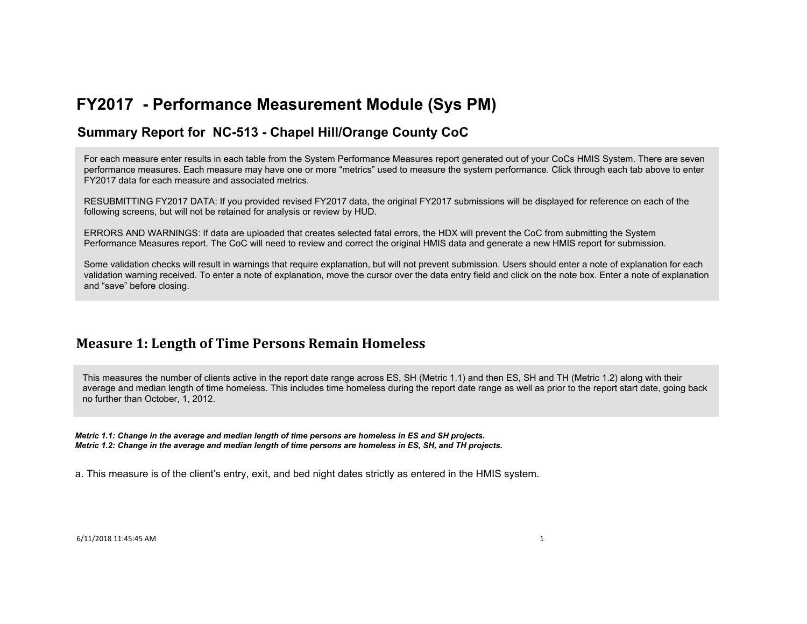### **Summary Report for NC-513 - Chapel Hill/Orange County CoC**

For each measure enter results in each table from the System Performance Measures report generated out of your CoCs HMIS System. There are seven performance measures. Each measure may have one or more "metrics" used to measure the system performance. Click through each tab above to enter FY2017 data for each measure and associated metrics.

RESUBMITTING FY2017 DATA: If you provided revised FY2017 data, the original FY2017 submissions will be displayed for reference on each of the following screens, but will not be retained for analysis or review by HUD.

ERRORS AND WARNINGS: If data are uploaded that creates selected fatal errors, the HDX will prevent the CoC from submitting the System Performance Measures report. The CoC will need to review and correct the original HMIS data and generate a new HMIS report for submission.

Some validation checks will result in warnings that require explanation, but will not prevent submission. Users should enter a note of explanation for each validation warning received. To enter a note of explanation, move the cursor over the data entry field and click on the note box. Enter a note of explanation and "save" before closing.

### **Measure 1: Length of Time Persons Remain Homeless**

This measures the number of clients active in the report date range across ES, SH (Metric 1.1) and then ES, SH and TH (Metric 1.2) along with their average and median length of time homeless. This includes time homeless during the report date range as well as prior to the report start date, going back no further than October, 1, 2012.

*Metric 1.1: Change in the average and median length of time persons are homeless in ES and SH projects. Metric 1.2: Change in the average and median length of time persons are homeless in ES, SH, and TH projects.*

a. This measure is of the client's entry, exit, and bed night dates strictly as entered in the HMIS system.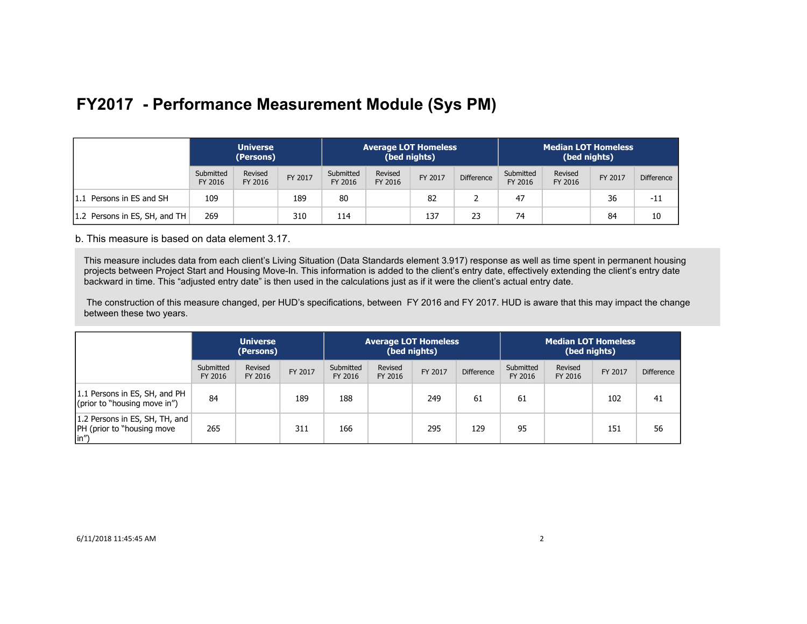|                               | <b>Universe</b><br>(Persons) |                    |         | <b>Average LOT Homeless</b><br>(bed nights) |                    |         |                   | <b>Median LOT Homeless</b><br>(bed nights) |                    |         |                   |
|-------------------------------|------------------------------|--------------------|---------|---------------------------------------------|--------------------|---------|-------------------|--------------------------------------------|--------------------|---------|-------------------|
|                               | Submitted<br>FY 2016         | Revised<br>FY 2016 | FY 2017 | Submitted<br>FY 2016                        | Revised<br>FY 2016 | FY 2017 | <b>Difference</b> | Submitted<br>FY 2016                       | Revised<br>FY 2016 | FY 2017 | <b>Difference</b> |
| 1.1 Persons in ES and SH      | 109                          |                    | 189     | 80                                          |                    | 82      |                   | 47                                         |                    | 36      | $-11$             |
| 1.2 Persons in ES, SH, and TH | 269                          |                    | 310     | 114                                         |                    | 137     | 23                | 74                                         |                    | 84      | 10                |

b. This measure is based on data element 3.17.

This measure includes data from each client's Living Situation (Data Standards element 3.917) response as well as time spent in permanent housing projects between Project Start and Housing Move-In. This information is added to the client's entry date, effectively extending the client's entry date backward in time. This "adjusted entry date" is then used in the calculations just as if it were the client's actual entry date.

 The construction of this measure changed, per HUD's specifications, between FY 2016 and FY 2017. HUD is aware that this may impact the change between these two years.

|                                                                               | <b>Universe</b><br>(Persons) |                    |         | <b>Average LOT Homeless</b><br>(bed nights) |                    |         | <b>Median LOT Homeless</b><br>(bed nights) |                      |                    |         |                   |
|-------------------------------------------------------------------------------|------------------------------|--------------------|---------|---------------------------------------------|--------------------|---------|--------------------------------------------|----------------------|--------------------|---------|-------------------|
|                                                                               | Submitted<br>FY 2016         | Revised<br>FY 2016 | FY 2017 | Submitted<br>FY 2016                        | Revised<br>FY 2016 | FY 2017 | <b>Difference</b>                          | Submitted<br>FY 2016 | Revised<br>FY 2016 | FY 2017 | <b>Difference</b> |
| 1.1 Persons in ES, SH, and PH<br>(prior to "housing move in")                 | 84                           |                    | 189     | 188                                         |                    | 249     | 61                                         | 61                   |                    | 102     | 41                |
| 1.2 Persons in ES, SH, TH, and<br> PH (prior to "housing move<br>$\vert$ in") | 265                          |                    | 311     | 166                                         |                    | 295     | 129                                        | 95                   |                    | 151     | 56                |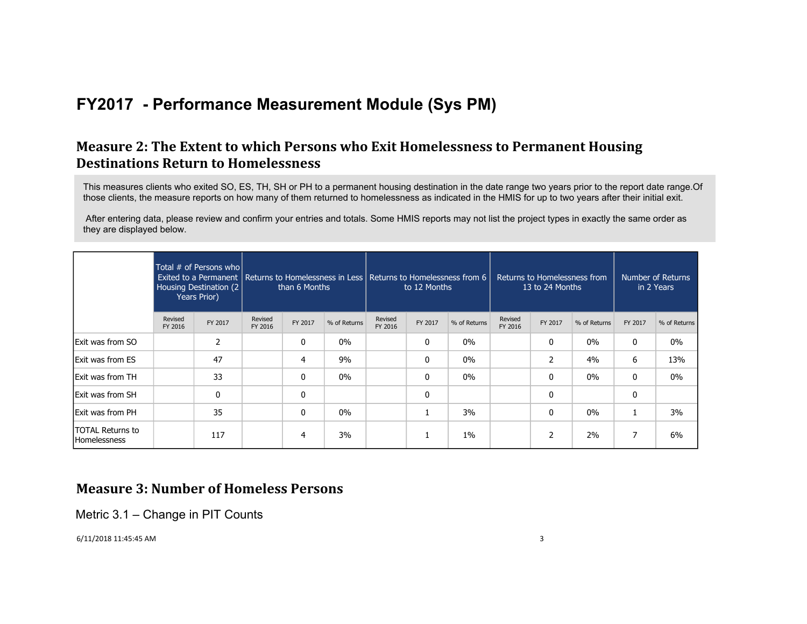### **Measure 2: The Extent to which Persons who Exit Homelessness to Permanent Housing Destinations Return to Homelessness**

This measures clients who exited SO, ES, TH, SH or PH to a permanent housing destination in the date range two years prior to the report date range.Of those clients, the measure reports on how many of them returned to homelessness as indicated in the HMIS for up to two years after their initial exit.

 After entering data, please review and confirm your entries and totals. Some HMIS reports may not list the project types in exactly the same order as they are displayed below.

|                                                |                    | Total # of Persons who<br>Housing Destination (2)<br>Years Prior) |                    | than 6 Months  |              | to 12 Months       |         | Exited to a Permanent   Returns to Homelessness in Less   Returns to Homelessness from 6 |                    | Returns to Homelessness from<br>13 to 24 Months |              |         |              | Number of Returns<br>in 2 Years |  |
|------------------------------------------------|--------------------|-------------------------------------------------------------------|--------------------|----------------|--------------|--------------------|---------|------------------------------------------------------------------------------------------|--------------------|-------------------------------------------------|--------------|---------|--------------|---------------------------------|--|
|                                                | Revised<br>FY 2016 | FY 2017                                                           | Revised<br>FY 2016 | FY 2017        | % of Returns | Revised<br>FY 2016 | FY 2017 | % of Returns                                                                             | Revised<br>FY 2016 | FY 2017                                         | % of Returns | FY 2017 | % of Returns |                                 |  |
| <b>Exit was from SO</b>                        |                    | 2                                                                 |                    | 0              | $0\%$        |                    | 0       | $0\%$                                                                                    |                    | 0                                               | $0\%$        | 0       | $0\%$        |                                 |  |
| <b>Exit was from ES</b>                        |                    | 47                                                                |                    | 4              | 9%           |                    | 0       | $0\%$                                                                                    |                    | 2                                               | 4%           | 6       | 13%          |                                 |  |
| <b>Exit was from TH</b>                        |                    | 33                                                                |                    | 0              | $0\%$        |                    | 0       | 0%                                                                                       |                    | 0                                               | $0\%$        | 0       | $0\%$        |                                 |  |
| <b>Exit was from SH</b>                        |                    | $\Omega$                                                          |                    | 0              |              |                    | 0       |                                                                                          |                    | 0                                               |              | 0       |              |                                 |  |
| Exit was from PH                               |                    | 35                                                                |                    | 0              | $0\%$        |                    |         | 3%                                                                                       |                    | $\mathbf{0}$                                    | $0\%$        |         | 3%           |                                 |  |
| <b>TOTAL Returns to</b><br><b>Homelessness</b> |                    | 117                                                               |                    | $\overline{4}$ | 3%           |                    | 1       | $1\%$                                                                                    |                    | $\overline{2}$                                  | 2%           | 7       | 6%           |                                 |  |

### **Measure 3: Number of Homeless Persons**

Metric 3.1 – Change in PIT Counts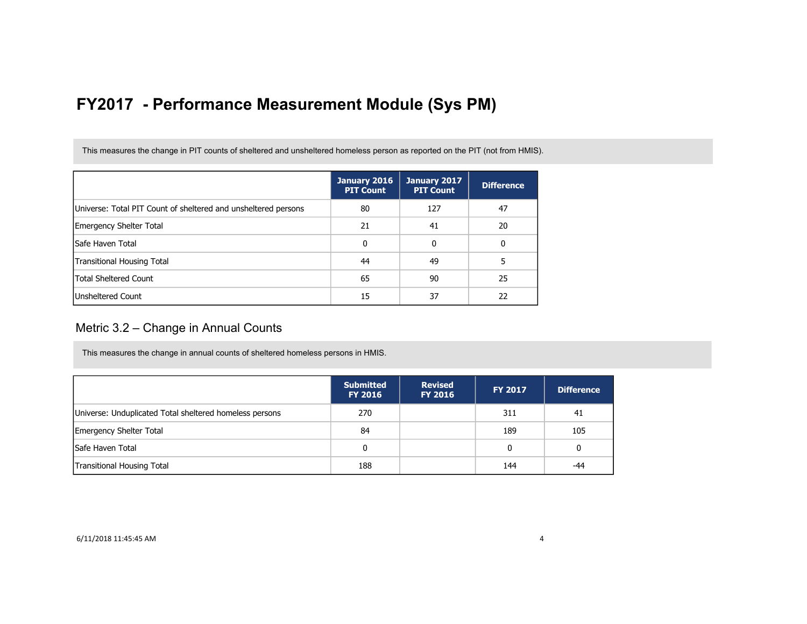This measures the change in PIT counts of sheltered and unsheltered homeless person as reported on the PIT (not from HMIS).

|                                                                | January 2016<br><b>PIT Count</b> | January 2017<br><b>PIT Count</b> | <b>Difference</b> |
|----------------------------------------------------------------|----------------------------------|----------------------------------|-------------------|
| Universe: Total PIT Count of sheltered and unsheltered persons | 80                               | 127                              | 47                |
| Emergency Shelter Total                                        | 21                               | 41                               | 20                |
| lSafe Haven Total                                              | 0                                | 0                                | 0                 |
| Transitional Housing Total                                     | 44                               | 49                               |                   |
| <b>Total Sheltered Count</b>                                   | 65                               | 90                               | 25                |
| <b>Unsheltered Count</b>                                       | 15                               | 37                               | 22                |

### Metric 3.2 – Change in Annual Counts

This measures the change in annual counts of sheltered homeless persons in HMIS.

|                                                         | <b>Submitted</b><br><b>FY 2016</b> | <b>Revised</b><br><b>FY 2016</b> | <b>FY 2017</b> | <b>Difference</b> |
|---------------------------------------------------------|------------------------------------|----------------------------------|----------------|-------------------|
| Universe: Unduplicated Total sheltered homeless persons | 270                                |                                  | 311            | 41                |
| <b>Emergency Shelter Total</b>                          | 84                                 |                                  | 189            | 105               |
| Safe Haven Total                                        | 0                                  |                                  | 0              | 0                 |
| Transitional Housing Total                              | 188                                |                                  | 144            | $-44$             |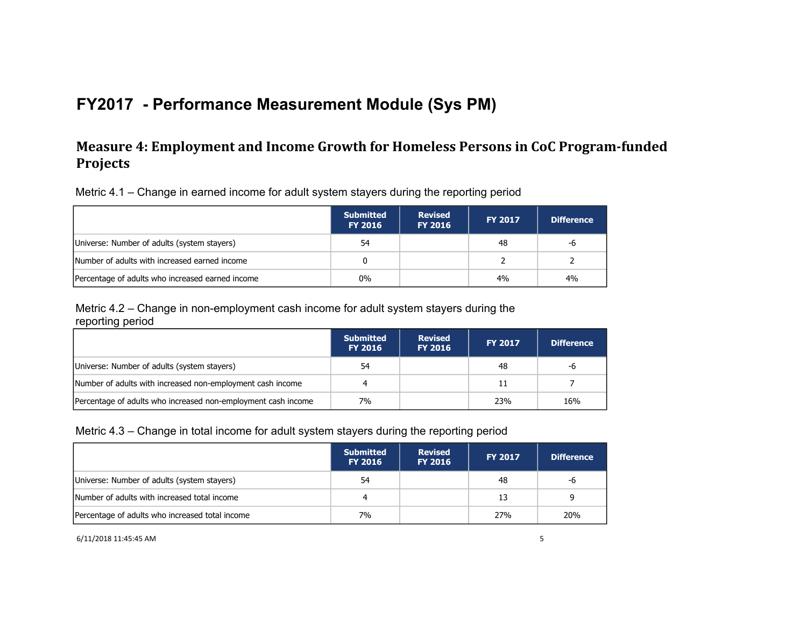## **Measure 4: Employment and Income Growth for Homeless Persons in CoC Program-funded Projects**

Metric 4.1 – Change in earned income for adult system stayers during the reporting period

|                                                  | <b>Submitted</b><br><b>FY 2016</b> | <b>Revised</b><br><b>FY 2016</b> | <b>FY 2017</b> | <b>Difference</b> |
|--------------------------------------------------|------------------------------------|----------------------------------|----------------|-------------------|
| Universe: Number of adults (system stayers)      | 54                                 |                                  | 48             | -6                |
| Number of adults with increased earned income    |                                    |                                  |                |                   |
| Percentage of adults who increased earned income | $0\%$                              |                                  | 4%             | 4%                |

Metric 4.2 – Change in non-employment cash income for adult system stayers during the reporting period

|                                                               | <b>Submitted</b><br><b>FY 2016</b> | <b>Revised</b><br><b>FY 2016</b> | <b>FY 2017</b> | <b>Difference</b> |
|---------------------------------------------------------------|------------------------------------|----------------------------------|----------------|-------------------|
| Universe: Number of adults (system stayers)                   | 54                                 |                                  | 48             | -6                |
| Number of adults with increased non-employment cash income    |                                    |                                  | 11             |                   |
| Percentage of adults who increased non-employment cash income | 7%                                 |                                  | 23%            | 16%               |

#### Metric 4.3 – Change in total income for adult system stayers during the reporting period

|                                                 | <b>Submitted</b><br><b>FY 2016</b> | <b>Revised</b><br><b>FY 2016</b> | <b>FY 2017</b> | <b>Difference</b> |
|-------------------------------------------------|------------------------------------|----------------------------------|----------------|-------------------|
| Universe: Number of adults (system stayers)     | 54                                 |                                  | 48             | -6                |
| Number of adults with increased total income    |                                    |                                  | 13             |                   |
| Percentage of adults who increased total income | 7%                                 |                                  | 27%            | <b>20%</b>        |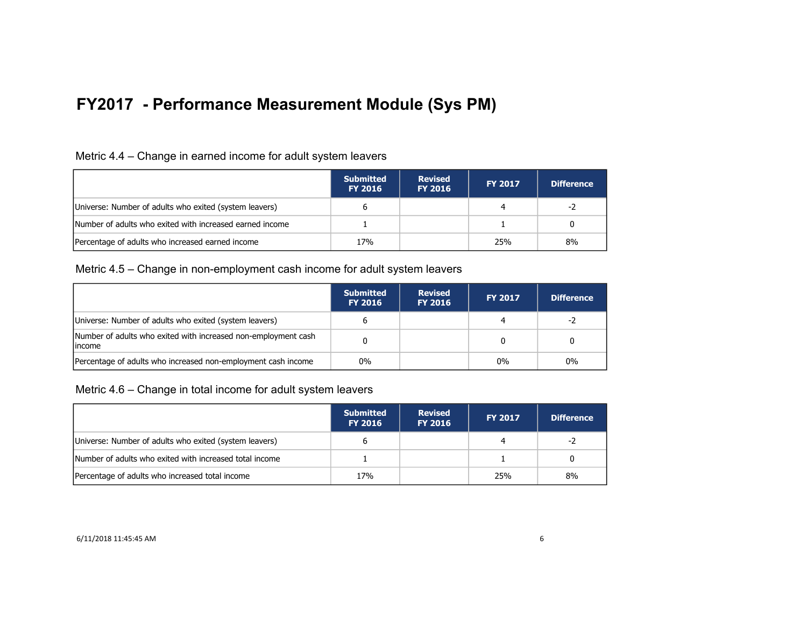#### Metric 4.4 – Change in earned income for adult system leavers

|                                                          | <b>Submitted</b><br><b>FY 2016</b> | <b>Revised</b><br><b>FY 2016</b> | <b>FY 2017</b> | <b>Difference</b> |
|----------------------------------------------------------|------------------------------------|----------------------------------|----------------|-------------------|
| Universe: Number of adults who exited (system leavers)   |                                    |                                  | 4              | -2                |
| Number of adults who exited with increased earned income |                                    |                                  |                |                   |
| Percentage of adults who increased earned income         | 17 <sub>%</sub>                    |                                  | 25%            | 8%                |

#### Metric 4.5 – Change in non-employment cash income for adult system leavers

|                                                                           | <b>Submitted</b><br><b>FY 2016</b> | <b>Revised</b><br><b>FY 2016</b> | <b>FY 2017</b> | <b>Difference</b> |
|---------------------------------------------------------------------------|------------------------------------|----------------------------------|----------------|-------------------|
| Universe: Number of adults who exited (system leavers)                    |                                    |                                  |                | -2                |
| Number of adults who exited with increased non-employment cash<br>lincome |                                    |                                  |                |                   |
| Percentage of adults who increased non-employment cash income             | $0\%$                              |                                  | $0\%$          | $0\%$             |

Metric 4.6 – Change in total income for adult system leavers

|                                                         | <b>Submitted</b><br><b>FY 2016</b> | <b>Revised</b><br><b>FY 2016</b> | <b>FY 2017</b> | <b>Difference</b> |
|---------------------------------------------------------|------------------------------------|----------------------------------|----------------|-------------------|
| Universe: Number of adults who exited (system leavers)  |                                    |                                  | 4              | -2                |
| Number of adults who exited with increased total income |                                    |                                  |                |                   |
| Percentage of adults who increased total income         | 17 <sub>%</sub>                    |                                  | 25%            | 8%                |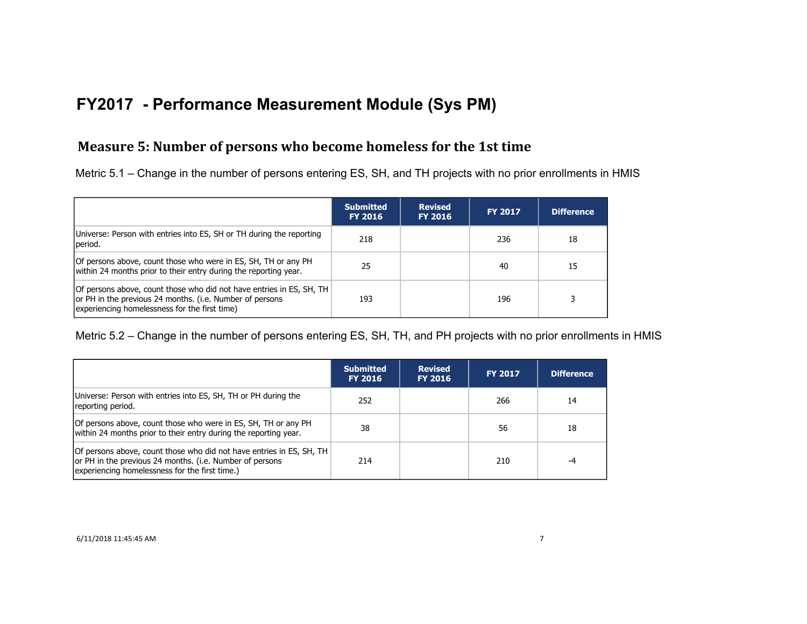### **Measure 5: Number of persons who become homeless for the 1st time**

Metric 5.1 – Change in the number of persons entering ES, SH, and TH projects with no prior enrollments in HMIS

|                                                                                                                                                                                   | <b>Submitted</b><br><b>FY 2016</b> | <b>Revised</b><br><b>FY 2016</b> | <b>FY 2017</b> | Difference |
|-----------------------------------------------------------------------------------------------------------------------------------------------------------------------------------|------------------------------------|----------------------------------|----------------|------------|
| Universe: Person with entries into ES, SH or TH during the reporting<br>period.                                                                                                   | 218                                |                                  | 236            | 18         |
| Of persons above, count those who were in ES, SH, TH or any PH<br>within 24 months prior to their entry during the reporting year.                                                | 25                                 |                                  | 40             | 15         |
| Of persons above, count those who did not have entries in ES, SH, TH<br>or PH in the previous 24 months. (i.e. Number of persons<br>experiencing homelessness for the first time) | 193                                |                                  | 196            |            |

Metric 5.2 – Change in the number of persons entering ES, SH, TH, and PH projects with no prior enrollments in HMIS

|                                                                                                                                                                                    | <b>Submitted</b><br><b>FY 2016</b> | <b>Revised</b><br><b>FY 2016</b> | <b>FY 2017</b> | <b>Difference</b> |
|------------------------------------------------------------------------------------------------------------------------------------------------------------------------------------|------------------------------------|----------------------------------|----------------|-------------------|
| Universe: Person with entries into ES, SH, TH or PH during the<br>reporting period.                                                                                                | 252                                |                                  | 266            | 14                |
| Of persons above, count those who were in ES, SH, TH or any PH<br>within 24 months prior to their entry during the reporting year.                                                 | 38                                 |                                  | 56             | 18                |
| Of persons above, count those who did not have entries in ES, SH, TH<br>or PH in the previous 24 months. (i.e. Number of persons<br>experiencing homelessness for the first time.) | 214                                |                                  | 210            | -4                |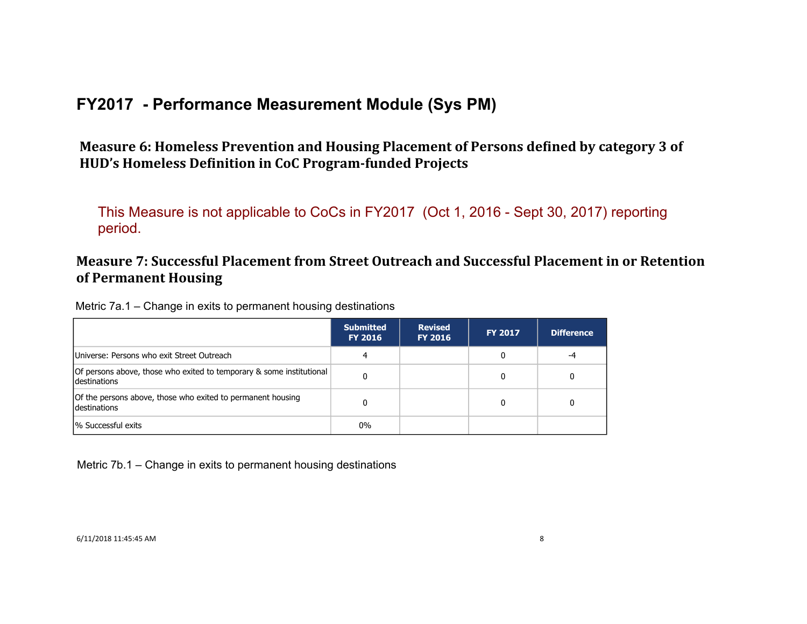Measure 6: Homeless Prevention and Housing Placement of Persons defined by category 3 of HUD's Homeless Definition in CoC Program-funded Projects

This Measure is not applicable to CoCs in FY2017 (Oct 1, 2016 - Sept 30, 2017) reporting period.

## **Measure 7: Successful Placement from Street Outreach and Successful Placement in or Retention of Permanent Housing**

Metric 7a.1 – Change in exits to permanent housing destinations

|                                                                                      | <b>Submitted</b><br><b>FY 2016</b> | <b>Revised</b><br><b>FY 2016</b> | <b>FY 2017</b> | <b>Difference</b> |
|--------------------------------------------------------------------------------------|------------------------------------|----------------------------------|----------------|-------------------|
| Universe: Persons who exit Street Outreach                                           |                                    |                                  | 0              | -4                |
| Of persons above, those who exited to temporary & some institutional<br>destinations |                                    |                                  | 0              |                   |
| Of the persons above, those who exited to permanent housing<br>destinations          |                                    |                                  | 0              |                   |
| % Successful exits                                                                   | $0\%$                              |                                  |                |                   |

Metric 7b.1 – Change in exits to permanent housing destinations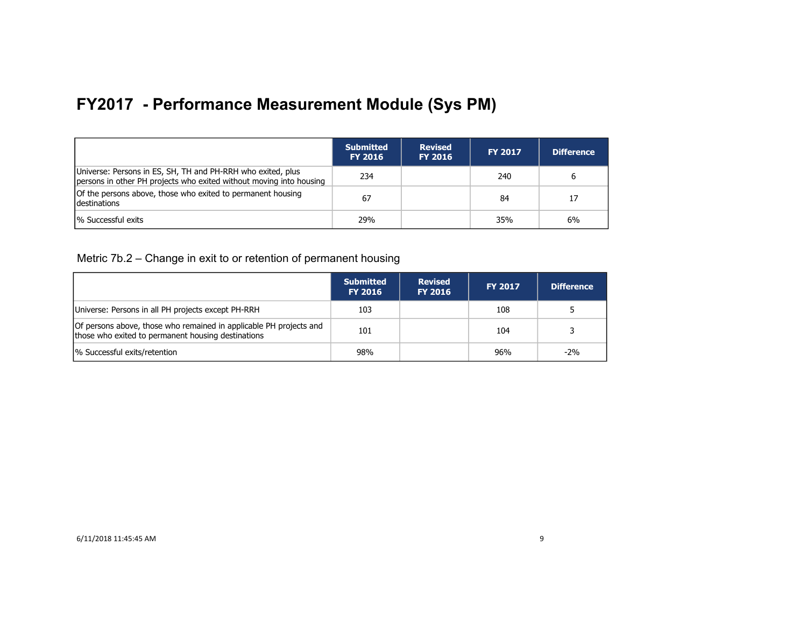|                                                                                                                                    | <b>Submitted</b><br><b>FY 2016</b> | <b>Revised</b><br><b>FY 2016</b> | <b>FY 2017</b> | <b>Difference</b> |
|------------------------------------------------------------------------------------------------------------------------------------|------------------------------------|----------------------------------|----------------|-------------------|
| Universe: Persons in ES, SH, TH and PH-RRH who exited, plus<br>persons in other PH projects who exited without moving into housing | 234                                |                                  | 240            | 6                 |
| Of the persons above, those who exited to permanent housing<br><b>Idestinations</b>                                                | 67                                 |                                  | 84             | 17                |
| % Successful exits                                                                                                                 | 29%                                |                                  | 35%            | 6%                |

Metric 7b.2 – Change in exit to or retention of permanent housing

|                                                                                                                          | <b>Submitted</b><br><b>FY 2016</b> | <b>Revised</b><br><b>FY 2016</b> | <b>FY 2017</b> | <b>Difference</b> |
|--------------------------------------------------------------------------------------------------------------------------|------------------------------------|----------------------------------|----------------|-------------------|
| Universe: Persons in all PH projects except PH-RRH                                                                       | 103                                |                                  | 108            |                   |
| Of persons above, those who remained in applicable PH projects and<br>those who exited to permanent housing destinations | 101                                |                                  | 104            |                   |
| % Successful exits/retention                                                                                             | 98%                                |                                  | 96%            | $-2\%$            |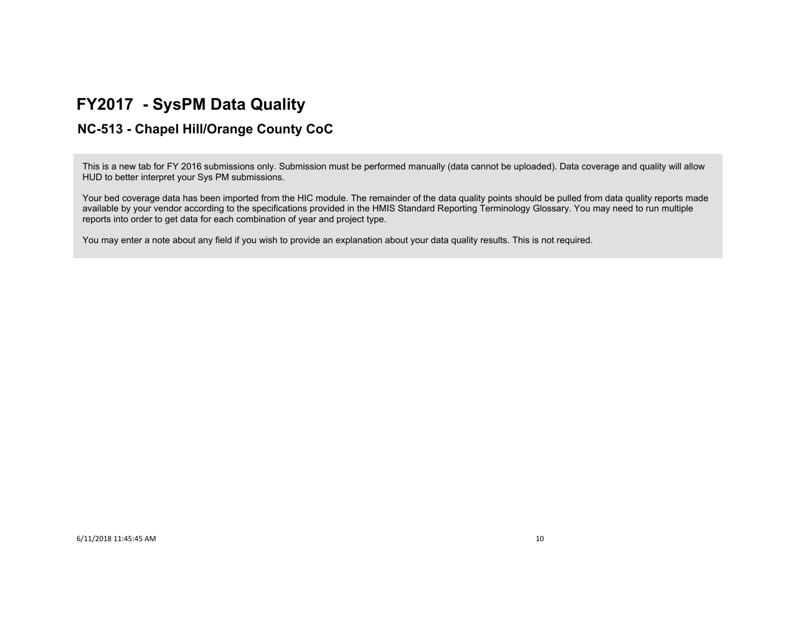## **FY2017 - SysPM Data Quality**

### **NC-513 - Chapel Hill/Orange County CoC**

This is a new tab for FY 2016 submissions only. Submission must be performed manually (data cannot be uploaded). Data coverage and quality will allow HUD to better interpret your Sys PM submissions.

Your bed coverage data has been imported from the HIC module. The remainder of the data quality points should be pulled from data quality reports made available by your vendor according to the specifications provided in the HMIS Standard Reporting Terminology Glossary. You may need to run multiple reports into order to get data for each combination of year and project type.

You may enter a note about any field if you wish to provide an explanation about your data quality results. This is not required.